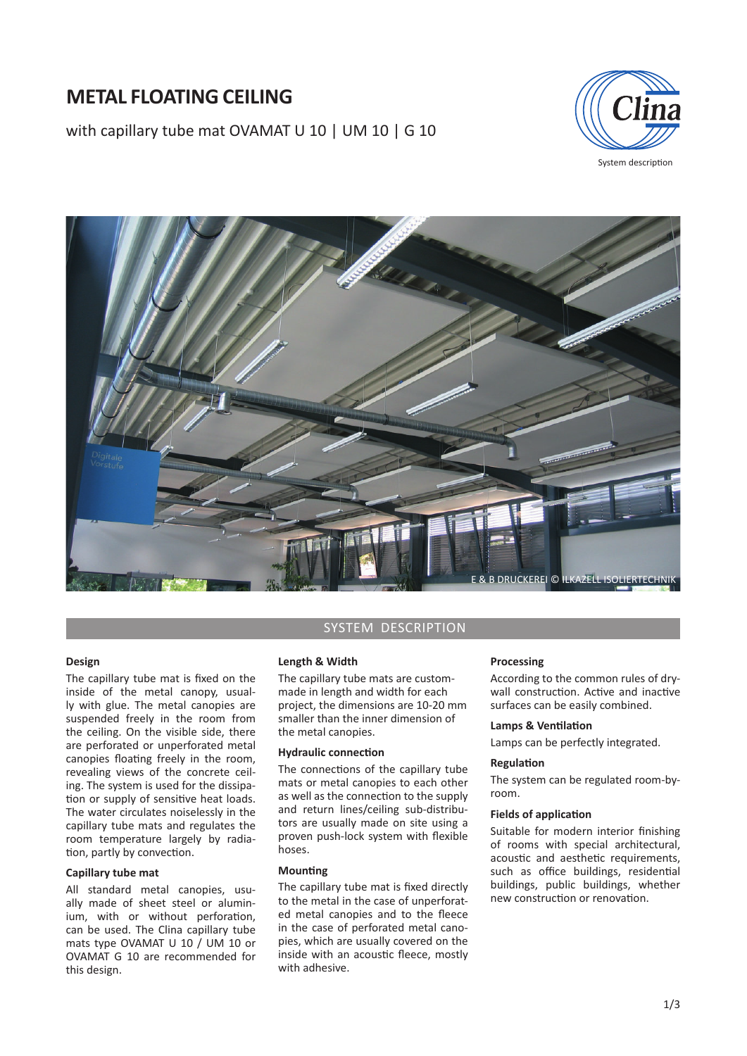# **METAL FLOATING CEILING**

with capillary tube mat OVAMAT U 10 | UM 10 | G 10



System description



# **Design**

The capillary tube mat is fixed on the inside of the metal canopy, usually with glue. The metal canopies are suspended freely in the room from the ceiling. On the visible side, there are perforated or unperforated metal canopies floating freely in the room, revealing views of the concrete ceiling. The system is used for the dissipation or supply of sensitive heat loads. The water circulates noiselessly in the capillary tube mats and regulates the room temperature largely by radiation, partly by convection.

# **Capillary tube mat**

All standard metal canopies, usually made of sheet steel or aluminium, with or without perforation, can be used. The Clina capillary tube mats type OVAMAT U 10 / UM 10 or OVAMAT G 10 are recommended for this design.

# SYSTEM DESCRIPTION

### **Length & Width**

The capillary tube mats are custommade in length and width for each project, the dimensions are 10-20 mm smaller than the inner dimension of the metal canopies.

# **Hydraulic connection**

The connections of the capillary tube mats or metal canopies to each other as well as the connection to the supply and return lines/ceiling sub-distributors are usually made on site using a proven push-lock system with flexible hoses.

# **Mounting**

The capillary tube mat is fixed directly to the metal in the case of unperforated metal canopies and to the fleece in the case of perforated metal canopies, which are usually covered on the inside with an acoustic fleece, mostly with adhesive.

### **Processing**

According to the common rules of drywall construction. Active and inactive surfaces can be easily combined.

## **Lamps & Ventilation**

Lamps can be perfectly integrated.

### **RegulaƟ on**

The system can be regulated room-byroom.

## **Fields of application**

Suitable for modern interior finishing of rooms with special architectural, acoustic and aesthetic requirements, such as office buildings, residential buildings, public buildings, whether new construction or renovation.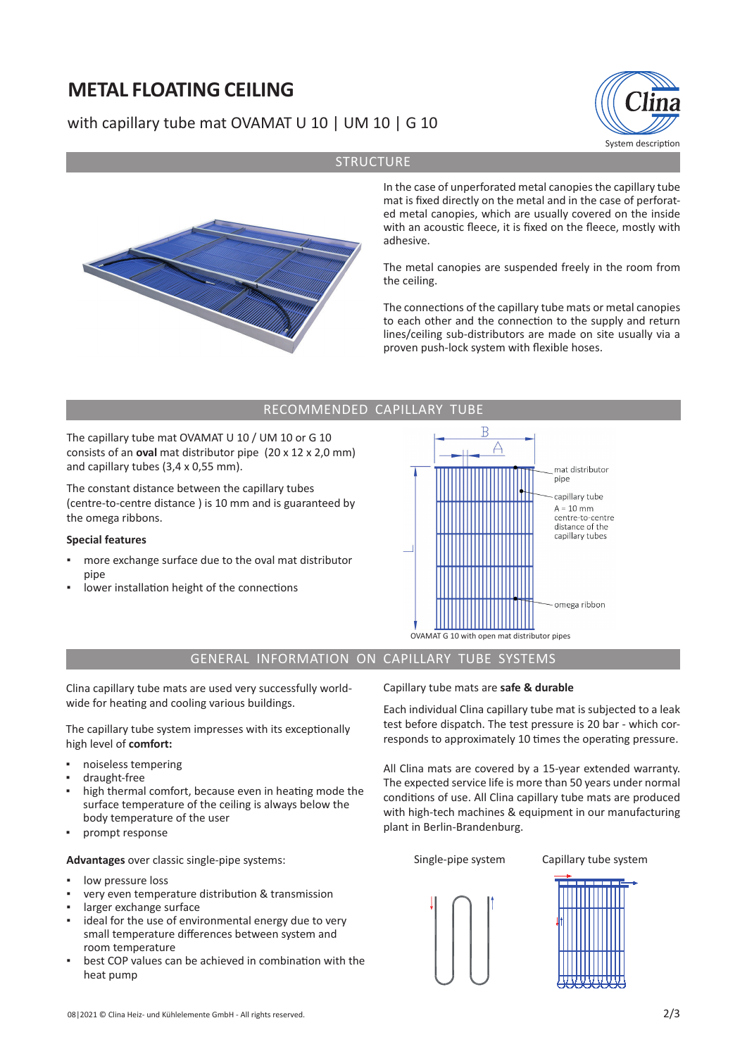# **METAL FLOATING CEILING**

# with capillary tube mat OVAMAT U 10 | UM 10 | G 10





**STRUCTURE** 

In the case of unperforated metal canopies the capillary tube mat is fixed directly on the metal and in the case of perforated metal canopies, which are usually covered on the inside with an acoustic fleece, it is fixed on the fleece, mostly with adhesive.

The metal canopies are suspended freely in the room from the ceiling.

The connections of the capillary tube mats or metal canopies to each other and the connection to the supply and return lines/ceiling sub-distributors are made on site usually via a proven push-lock system with flexible hoses.

# RECOMMENDED CAPILLARY TUBE

The capillary tube mat OVAMAT U 10 / UM 10 or G 10 consists of an **oval** mat distributor pipe (20 x 12 x 2,0 mm) and capillary tubes (3,4 x 0,55 mm).

The constant distance between the capillary tubes (centre-to-centre distance ) is 10 mm and is guaranteed by the omega ribbons.

# **Special features**

- more exchange surface due to the oval mat distributor pipe
- lower installation height of the connections



# GENERAL INFORMATION ON CAPILLARY TUBE SYSTEMS

Clina capillary tube mats are used very successfully worldwide for heating and cooling various buildings.

The capillary tube system impresses with its exceptionally high level of **comfort:**

- noiseless tempering
- draught-free
- high thermal comfort, because even in heating mode the surface temperature of the ceiling is always below the body temperature of the user
- prompt response

**Advantages** over classic single-pipe systems:

- low pressure loss
- very even temperature distribution & transmission
- larger exchange surface
- ideal for the use of environmental energy due to very small temperature differences between system and room temperature
- best COP values can be achieved in combination with the heat pump

Capillary tube mats are **safe & durable**

Each individual Clina capillary tube mat is subjected to a leak test before dispatch. The test pressure is 20 bar - which corresponds to approximately 10 times the operating pressure.

All Clina mats are covered by a 15-year extended warranty. The expected service life is more than 50 years under normal conditions of use. All Clina capillary tube mats are produced with high-tech machines & equipment in our manufacturing plant in Berlin-Brandenburg.

Single-pipe system Capillary tube system